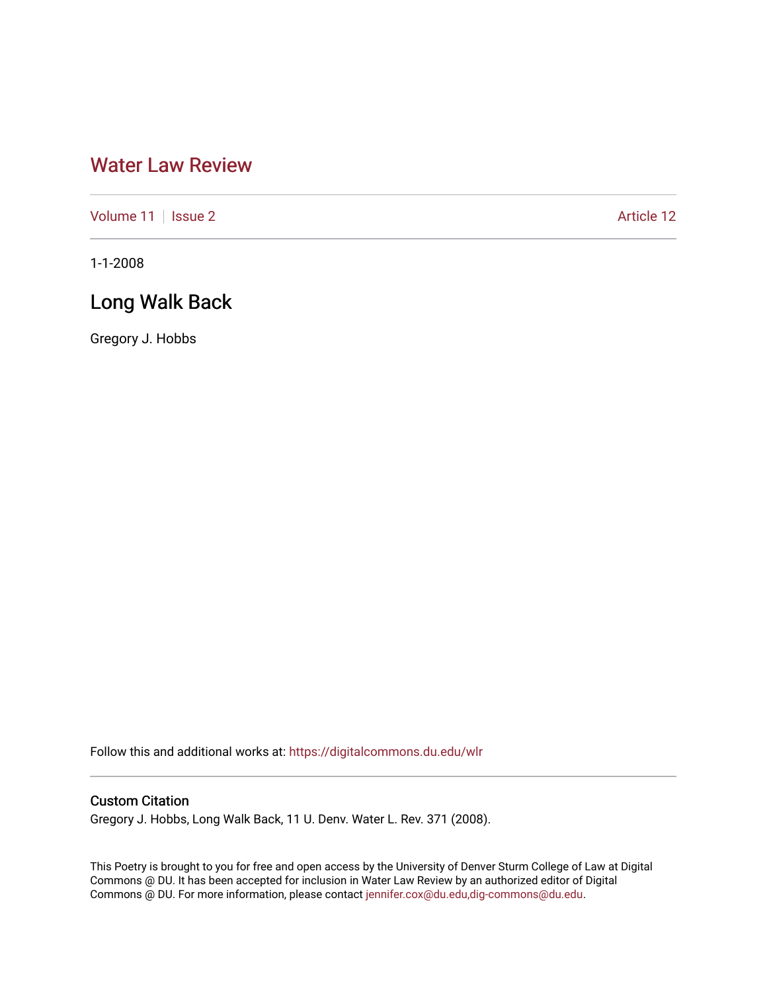# [Water Law Review](https://digitalcommons.du.edu/wlr)

[Volume 11](https://digitalcommons.du.edu/wlr/vol11) | [Issue 2](https://digitalcommons.du.edu/wlr/vol11/iss2) Article 12

1-1-2008

## Long Walk Back

Gregory J. Hobbs

Follow this and additional works at: [https://digitalcommons.du.edu/wlr](https://digitalcommons.du.edu/wlr?utm_source=digitalcommons.du.edu%2Fwlr%2Fvol11%2Fiss2%2F12&utm_medium=PDF&utm_campaign=PDFCoverPages) 

## Custom Citation

Gregory J. Hobbs, Long Walk Back, 11 U. Denv. Water L. Rev. 371 (2008).

This Poetry is brought to you for free and open access by the University of Denver Sturm College of Law at Digital Commons @ DU. It has been accepted for inclusion in Water Law Review by an authorized editor of Digital Commons @ DU. For more information, please contact [jennifer.cox@du.edu,dig-commons@du.edu.](mailto:jennifer.cox@du.edu,dig-commons@du.edu)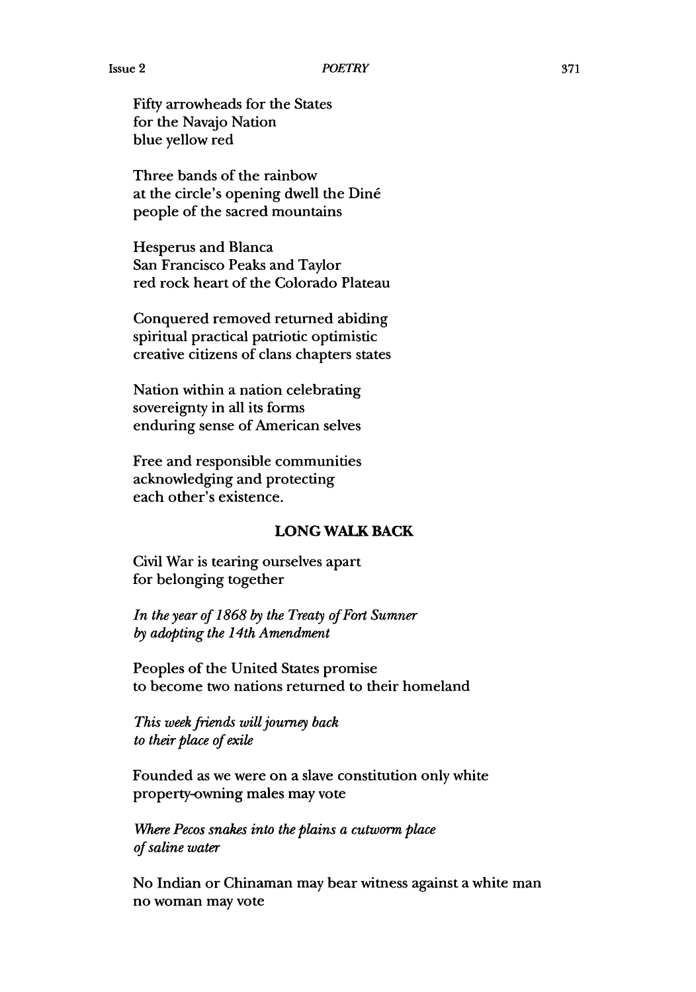Fifty arrowheads for the States for the Navajo Nation blue yellow red

Three bands of the rainbow at the circle's opening dwell the Din6 people of the sacred mountains

Hesperus and Blanca San Francisco Peaks and Taylor red rock heart of the Colorado Plateau

Conquered removed returned abiding spiritual practical patriotic optimistic creative citizens of clans chapters states

Nation within a nation celebrating sovereignty in all its forms enduring sense of American selves

Free and responsible communities acknowledging and protecting each other's existence.

### **LONG WALK BACK**

Civil War is tearing ourselves apart for belonging together

*In the year of 1868 by the Treaty of Fort Sumner by adopting the 14th Amendment*

Peoples of the United States promise to become two nations returned to their homeland

*This week friends will journey back to their place of exile*

Founded as we were on a slave constitution only white property-owning males may vote

*Where Pecos snakes into the plains a cutworm place of saline water*

No Indian or Chinaman may bear witness against a white man no woman may vote